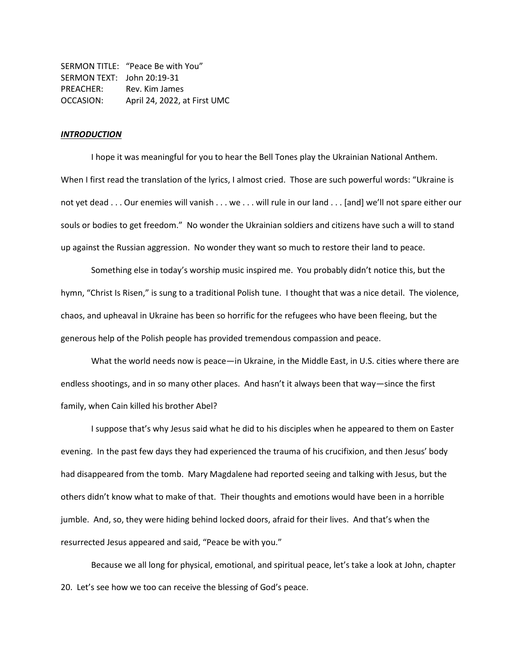SERMON TITLE: "Peace Be with You" SERMON TEXT: John 20:19-31 PREACHER: Rev. Kim James OCCASION: April 24, 2022, at First UMC

## *INTRODUCTION*

I hope it was meaningful for you to hear the Bell Tones play the Ukrainian National Anthem. When I first read the translation of the lyrics, I almost cried. Those are such powerful words: "Ukraine is not yet dead . . . Our enemies will vanish . . . we . . . will rule in our land . . . [and] we'll not spare either our souls or bodies to get freedom." No wonder the Ukrainian soldiers and citizens have such a will to stand up against the Russian aggression. No wonder they want so much to restore their land to peace.

Something else in today's worship music inspired me. You probably didn't notice this, but the hymn, "Christ Is Risen," is sung to a traditional Polish tune. I thought that was a nice detail. The violence, chaos, and upheaval in Ukraine has been so horrific for the refugees who have been fleeing, but the generous help of the Polish people has provided tremendous compassion and peace.

What the world needs now is peace—in Ukraine, in the Middle East, in U.S. cities where there are endless shootings, and in so many other places. And hasn't it always been that way—since the first family, when Cain killed his brother Abel?

I suppose that's why Jesus said what he did to his disciples when he appeared to them on Easter evening. In the past few days they had experienced the trauma of his crucifixion, and then Jesus' body had disappeared from the tomb. Mary Magdalene had reported seeing and talking with Jesus, but the others didn't know what to make of that. Their thoughts and emotions would have been in a horrible jumble. And, so, they were hiding behind locked doors, afraid for their lives. And that's when the resurrected Jesus appeared and said, "Peace be with you."

Because we all long for physical, emotional, and spiritual peace, let's take a look at John, chapter 20. Let's see how we too can receive the blessing of God's peace.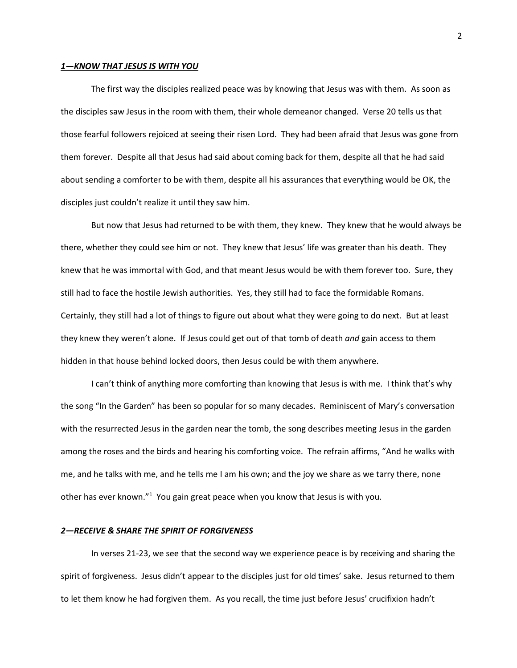#### *1—KNOW THAT JESUS IS WITH YOU*

The first way the disciples realized peace was by knowing that Jesus was with them. As soon as the disciples saw Jesus in the room with them, their whole demeanor changed. Verse 20 tells us that those fearful followers rejoiced at seeing their risen Lord. They had been afraid that Jesus was gone from them forever. Despite all that Jesus had said about coming back for them, despite all that he had said about sending a comforter to be with them, despite all his assurances that everything would be OK, the disciples just couldn't realize it until they saw him.

But now that Jesus had returned to be with them, they knew. They knew that he would always be there, whether they could see him or not. They knew that Jesus' life was greater than his death. They knew that he was immortal with God, and that meant Jesus would be with them forever too. Sure, they still had to face the hostile Jewish authorities. Yes, they still had to face the formidable Romans. Certainly, they still had a lot of things to figure out about what they were going to do next. But at least they knew they weren't alone. If Jesus could get out of that tomb of death *and* gain access to them hidden in that house behind locked doors, then Jesus could be with them anywhere.

I can't think of anything more comforting than knowing that Jesus is with me. I think that's why the song "In the Garden" has been so popular for so many decades. Reminiscent of Mary's conversation with the resurrected Jesus in the garden near the tomb, the song describes meeting Jesus in the garden among the roses and the birds and hearing his comforting voice. The refrain affirms, "And he walks with me, and he talks with me, and he tells me I am his own; and the joy we share as we tarry there, none other has ever known."<sup>1</sup> You gain great peace when you know that Jesus is with you.

#### *2—RECEIVE & SHARE THE SPIRIT OF FORGIVENESS*

In verses 21-23, we see that the second way we experience peace is by receiving and sharing the spirit of forgiveness. Jesus didn't appear to the disciples just for old times' sake. Jesus returned to them to let them know he had forgiven them. As you recall, the time just before Jesus' crucifixion hadn't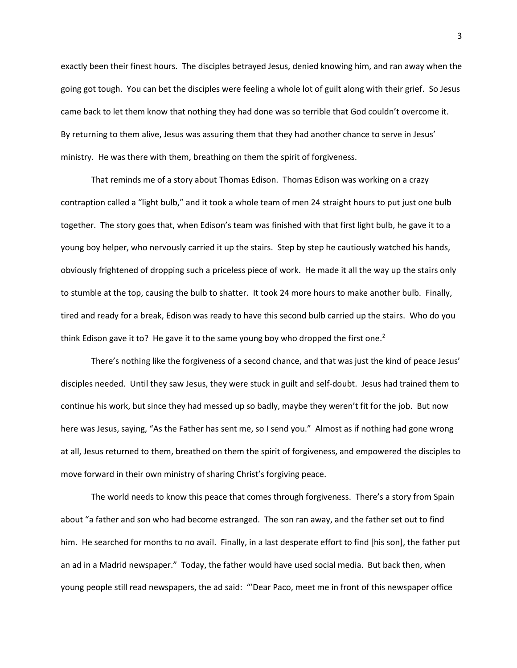exactly been their finest hours. The disciples betrayed Jesus, denied knowing him, and ran away when the going got tough. You can bet the disciples were feeling a whole lot of guilt along with their grief. So Jesus came back to let them know that nothing they had done was so terrible that God couldn't overcome it. By returning to them alive, Jesus was assuring them that they had another chance to serve in Jesus' ministry. He was there with them, breathing on them the spirit of forgiveness.

That reminds me of a story about Thomas Edison. Thomas Edison was working on a crazy contraption called a "light bulb," and it took a whole team of men 24 straight hours to put just one bulb together. The story goes that, when Edison's team was finished with that first light bulb, he gave it to a young boy helper, who nervously carried it up the stairs. Step by step he cautiously watched his hands, obviously frightened of dropping such a priceless piece of work. He made it all the way up the stairs only to stumble at the top, causing the bulb to shatter. It took 24 more hours to make another bulb. Finally, tired and ready for a break, Edison was ready to have this second bulb carried up the stairs. Who do you think Edison gave it to? He gave it to the same young boy who dropped the first one.<sup>2</sup>

There's nothing like the forgiveness of a second chance, and that was just the kind of peace Jesus' disciples needed. Until they saw Jesus, they were stuck in guilt and self-doubt. Jesus had trained them to continue his work, but since they had messed up so badly, maybe they weren't fit for the job. But now here was Jesus, saying, "As the Father has sent me, so I send you." Almost as if nothing had gone wrong at all, Jesus returned to them, breathed on them the spirit of forgiveness, and empowered the disciples to move forward in their own ministry of sharing Christ's forgiving peace.

The world needs to know this peace that comes through forgiveness. There's a story from Spain about "a father and son who had become estranged. The son ran away, and the father set out to find him. He searched for months to no avail. Finally, in a last desperate effort to find [his son], the father put an ad in a Madrid newspaper." Today, the father would have used social media. But back then, when young people still read newspapers, the ad said: "'Dear Paco, meet me in front of this newspaper office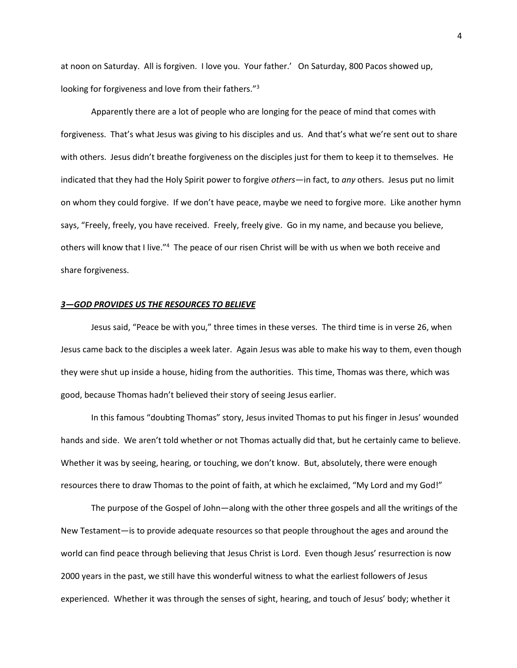at noon on Saturday. All is forgiven. I love you. Your father.' On Saturday, 800 Pacos showed up, looking for forgiveness and love from their fathers."<sup>3</sup>

Apparently there are a lot of people who are longing for the peace of mind that comes with forgiveness. That's what Jesus was giving to his disciples and us. And that's what we're sent out to share with others. Jesus didn't breathe forgiveness on the disciples just for them to keep it to themselves. He indicated that they had the Holy Spirit power to forgive *others*—in fact, to *any* others. Jesus put no limit on whom they could forgive. If we don't have peace, maybe we need to forgive more. Like another hymn says, "Freely, freely, you have received. Freely, freely give. Go in my name, and because you believe, others will know that I live."<sup>4</sup> The peace of our risen Christ will be with us when we both receive and share forgiveness.

## *3—GOD PROVIDES US THE RESOURCES TO BELIEVE*

Jesus said, "Peace be with you," three times in these verses. The third time is in verse 26, when Jesus came back to the disciples a week later. Again Jesus was able to make his way to them, even though they were shut up inside a house, hiding from the authorities. This time, Thomas was there, which was good, because Thomas hadn't believed their story of seeing Jesus earlier.

In this famous "doubting Thomas" story, Jesus invited Thomas to put his finger in Jesus' wounded hands and side. We aren't told whether or not Thomas actually did that, but he certainly came to believe. Whether it was by seeing, hearing, or touching, we don't know. But, absolutely, there were enough resources there to draw Thomas to the point of faith, at which he exclaimed, "My Lord and my God!"

The purpose of the Gospel of John—along with the other three gospels and all the writings of the New Testament—is to provide adequate resources so that people throughout the ages and around the world can find peace through believing that Jesus Christ is Lord. Even though Jesus' resurrection is now 2000 years in the past, we still have this wonderful witness to what the earliest followers of Jesus experienced. Whether it was through the senses of sight, hearing, and touch of Jesus' body; whether it